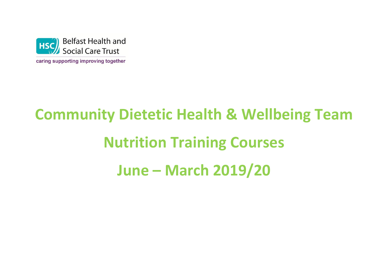

caring supporting improving together

# **Community Dietetic Health & Wellbeing Team Nutrition Training Courses June – March 2019/20**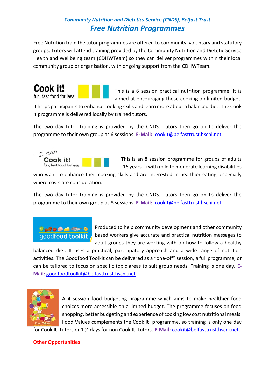### *Community Nutrition and Dietetics Service (CNDS), Belfast Trust Free Nutrition Programmes*

Free Nutrition train the tutor programmes are offered to community, voluntary and statutory groups. Tutors will attend training provided by the Community Nutrition and Dietetic Service Health and Wellbeing team (CDHWTeam) so they can deliver programmes within their local community group or organisation, with ongoing support from the CDHWTeam.





This is a 6 session practical nutrition programme. It is aimed at encouraging those cooking on limited budget.

It helps participants to enhance cooking skills and learn more about a balanced diet. The Cook It programme is delivered locally by trained tutors.

The two day tutor training is provided by the CNDS. Tutors then go on to deliver the programme to their own group as 6 sessions. **E-Mail:** [cookit@belfasttrust.hscni.net.](mailto:cookit@belfasttrust.hscni.net)



This is an 8 session programme for groups of adults (16 years +) with mild to moderate learning disabilities

who want to enhance their cooking skills and are interested in healthier eating, especially where costs are consideration.

The two day tutor training is provided by the CNDS. Tutors then go on to deliver the programme to their own group as 8 sessions. **E-Mail:** [cookit@belfasttrust.hscni.net.](mailto:cookit@belfasttrust.hscni.net)

 $\bullet\bullet\bullet\bullet\bullet\bullet\bullet\bullet$ goodfood toolkit

Produced to help community development and other community based workers give accurate and practical nutrition messages to adult groups they are working with on how to follow a healthy

balanced diet. It uses a practical, participatory approach and a wide range of nutrition activities. The Goodfood Toolkit can be delivered as a "one-off" session, a full programme, or can be tailored to focus on specific topic areas to suit group needs. Training is one day. **E-Mail:** [goodfoodtoolkit@belfasttrust.hscni.net](mailto:goodfoodtoolkit@belfasttrust.hscni.net)



A 4 session food budgeting programme which aims to make healthier food choices more accessible on a limited budget. The programme focuses on food shopping, better budgeting and experience of cooking low cost nutritional meals. Food Values complements the Cook It! programme, so training is only one day

for Cook It! tutors or 1 ½ days for non Cook It! tutors. **E-Mail:** [cookit@belfasttrust.hscni.net.](mailto:cookit@belfasttrust.hscni.net)

#### **Other Opportunities**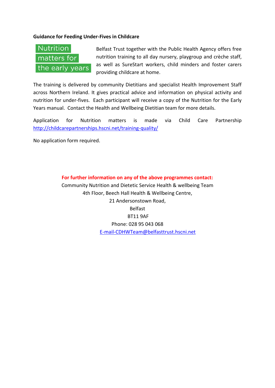#### **Guidance for Feeding Under-Fives in Childcare**

## Nutrition matters for the early years

Belfast Trust together with the Public Health Agency offers free nutrition training to all day nursery, playgroup and crèche staff, as well as SureStart workers, child minders and foster carers providing childcare at home.

The training is delivered by community Dietitians and specialist Health Improvement Staff across Northern Ireland. It gives practical advice and information on physical activity and nutrition for under-fives. Each participant will receive a copy of the Nutrition for the Early Years manual. Contact the Health and Wellbeing Dietitian team for more details.

Application for Nutrition matters is made via Child Care Partnership <http://childcarepartnerships.hscni.net/training-quality/>

No application form required.

**For further information on any of the above programmes contact:** Community Nutrition and Dietetic Service Health & wellbeing Team 4th Floor, Beech Hall Health & Wellbeing Centre, 21 Andersonstown Road, Belfast BT11 9AF Phone: 028 95 043 068 [E-mail-CDHWTeam@belfasttrust.hscni.net](mailto:E-mail-CDHWTeam@belfasttrust.hscni.net)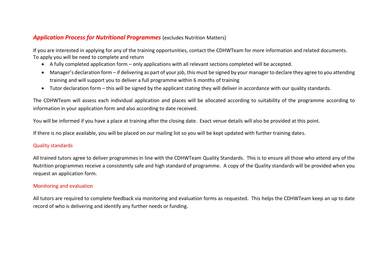#### *Application Process for Nutritional Programmes* (excludes Nutrition Matters)

If you are interested in applying for any of the training opportunities, contact the CDHWTeam for more information and related documents. To apply you will be need to complete and return

- A fully completed application form only applications with all relevant sections completed will be accepted.
- Manager's declaration form if delivering as part of your job, this must be signed by your manager to declare they agree to you attending training and will support you to deliver a full programme within 6 months of training
- Tutor declaration form this will be signed by the applicant stating they will deliver in accordance with our quality standards.

The CDHWTeam will assess each individual application and places will be allocated according to suitability of the programme according to information in your application form and also according to date received.

You will be informed if you have a place at training after the closing date. Exact venue details will also be provided at this point.

If there is no place available, you will be placed on our mailing list so you will be kept updated with further training dates.

#### Quality standards

All trained tutors agree to deliver programmes in line with the CDHWTeam Quality Standards. This is to ensure all those who attend any of the Nutrition programmes receive a consistently safe and high standard of programme. A copy of the Quality standards will be provided when you request an application form.

#### Monitoring and evaluation

All tutors are required to complete feedback via monitoring and evaluation forms as requested. This helps the CDHWTeam keep an up to date record of who is delivering and identify any further needs or funding.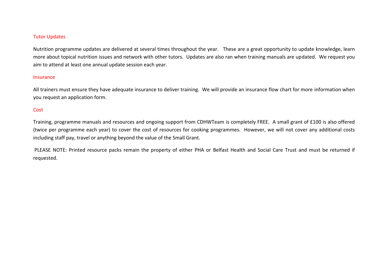#### Tutor Updates

Nutrition programme updates are delivered at several times throughout the year. These are a great opportunity to update knowledge, learn more about topical nutrition issues and network with other tutors. Updates are also ran when training manuals are updated. We request you aim to attend at least one annual update session each year.

#### Insurance

All trainers must ensure they have adequate insurance to deliver training. We will provide an insurance flow chart for more information when you request an application form.

#### **Cost**

Training, programme manuals and resources and ongoing support from CDHWTeam is completely FREE. A small grant of £100 is also offered (twice per programme each year) to cover the cost of resources for cooking programmes. However, we will not cover any additional costs including staff pay, travel or anything beyond the value of the Small Grant.

PLEASE NOTE: Printed resource packs remain the property of either PHA or Belfast Health and Social Care Trust and must be returned if requested.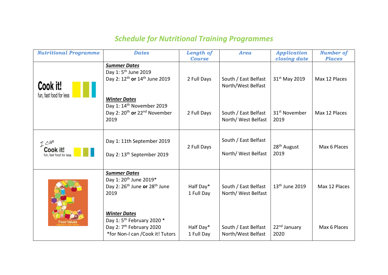## *Schedule for Nutritional Training Programmes*

| <b>Nutritional Programme</b>                 | <b>Dates</b>                                                                                                                              | Length of               | <b>Area</b>                                 | <b>Application</b>                | <b>Number of</b> |
|----------------------------------------------|-------------------------------------------------------------------------------------------------------------------------------------------|-------------------------|---------------------------------------------|-----------------------------------|------------------|
|                                              |                                                                                                                                           | <b>Course</b>           |                                             | closing date                      | <b>Places</b>    |
| Cook it!<br>fun, fast food for less          | <b>Summer Dates</b><br>Day 1: 5 <sup>th</sup> June 2019<br>Day 2: 12 <sup>th</sup> or 14 <sup>th</sup> June 2019                          | 2 Full Days             | South / East Belfast<br>North/West Belfast  | 31 <sup>st</sup> May 2019         | Max 12 Places    |
|                                              | <b>Winter Dates</b><br>Day 1: 14 <sup>th</sup> November 2019<br>Day 2: 20 <sup>th</sup> or 22 <sup>nd</sup> November<br>2019              | 2 Full Days             | South / East Belfast<br>North/ West Belfast | 31 <sup>st</sup> November<br>2019 | Max 12 Places    |
| I can<br>Cook it!<br>fun, fast food for less | Day 1: 11th September 2019<br>Day 2: 13 <sup>th</sup> September 2019                                                                      | 2 Full Days             | South / East Belfast<br>North/ West Belfast | 28 <sup>th</sup> August<br>2019   | Max 6 Places     |
|                                              | <b>Summer Dates</b><br>Day 1: 20 <sup>th</sup> June 2019*<br>Day 2: 26 <sup>th</sup> June or 28 <sup>th</sup> June<br>2019                | Half Day*<br>1 Full Day | South / East Belfast<br>North/ West Belfast | 13 <sup>th</sup> June 2019        | Max 12 Places    |
|                                              | <b>Winter Dates</b><br>Day 1: 5 <sup>th</sup> February 2020 *<br>Day 2: 7 <sup>th</sup> February 2020<br>*for Non-I can / Cook it! Tutors | Half Day*<br>1 Full Day | South / East Belfast<br>North/West Belfast  | 22 <sup>nd</sup> January<br>2020  | Max 6 Places     |